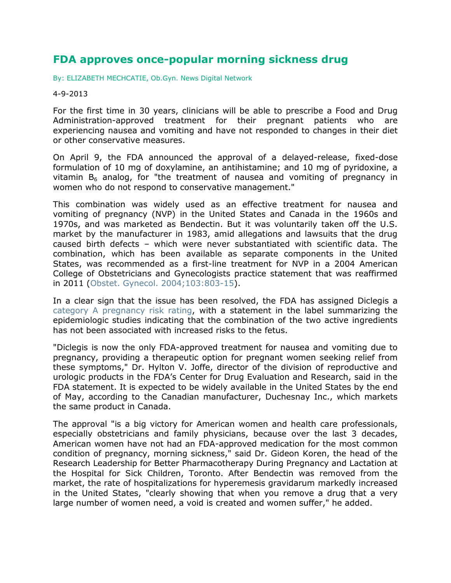## **FDA approves once-popular morning sickness drug**

[By: ELIZABETH MECHCATIE, Ob.Gyn. News Digital Network](mailto:emechcatie@frontlinemedcom.com)

## 4-9-2013

For the first time in 30 years, clinicians will be able to prescribe a Food and Drug Administration-approved treatment for their pregnant patients who are experiencing nausea and vomiting and have not responded to changes in their diet or other conservative measures.

On April 9, the FDA announced the approval of a delayed-release, fixed-dose formulation of 10 mg of doxylamine, an antihistamine; and 10 mg of pyridoxine, a vitamin  $B_6$  analog, for "the treatment of nausea and vomiting of pregnancy in women who do not respond to conservative management."

This combination was widely used as an effective treatment for nausea and vomiting of pregnancy (NVP) in the United States and Canada in the 1960s and 1970s, and was marketed as Bendectin. But it was voluntarily taken off the U.S. market by the manufacturer in 1983, amid allegations and lawsuits that the drug caused birth defects – which were never substantiated with scientific data. The combination, which has been available as separate components in the United States, was recommended as a first-line treatment for NVP in a 2004 American College of Obstetricians and Gynecologists practice statement that was reaffirmed in 2011 [\(Obstet. Gynecol. 2004;103:803-15\)](http://www.ncbi.nlm.nih.gov/pubmed?term=%22Obstetrics+and+gynecology%22%5bJour%5d+AND+103%5bvolume%5d+AND+803%5bpage%5d+AND+2004%5bpdat%5d&cmd=detailssearch).

In a clear sign that the issue has been resolved, the FDA has assigned Diclegis a [category A pregnancy risk rating,](http://studentnurselaura.wordpress.com/2009/12/27/5-pregnancy-category-ratings-a-b-c-d-z/) with a statement in the label summarizing the epidemiologic studies indicating that the combination of the two active ingredients has not been associated with increased risks to the fetus.

"Diclegis is now the only FDA-approved treatment for nausea and vomiting due to pregnancy, providing a therapeutic option for pregnant women seeking relief from these symptoms," Dr. Hylton V. Joffe, director of the division of reproductive and urologic products in the FDA's Center for Drug Evaluation and Research, said in the FDA statement. It is expected to be widely available in the United States by the end of May, according to the Canadian manufacturer, Duchesnay Inc., which markets the same product in Canada.

The approval "is a big victory for American women and health care professionals, especially obstetricians and family physicians, because over the last 3 decades, American women have not had an FDA-approved medication for the most common condition of pregnancy, morning sickness," said Dr. Gideon Koren, the head of the Research Leadership for Better Pharmacotherapy During Pregnancy and Lactation at the Hospital for Sick Children, Toronto. After Bendectin was removed from the market, the rate of hospitalizations for hyperemesis gravidarum markedly increased in the United States, "clearly showing that when you remove a drug that a very large number of women need, a void is created and women suffer," he added.